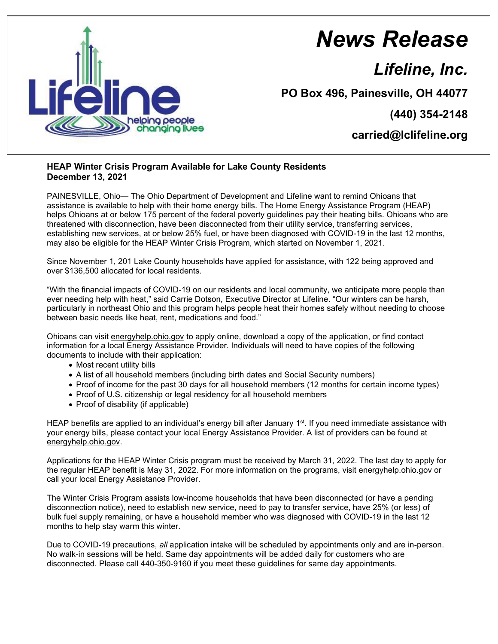

## *News Release*

*Lifeline, Inc.*

**PO Box 496, Painesville, OH 44077**

**(440) 354-2148**

**carried@lclifeline.org**

## **HEAP Winter Crisis Program Available for Lake County Residents December 13, 2021**

PAINESVILLE, Ohio— The Ohio Department of Development and Lifeline want to remind Ohioans that assistance is available to help with their home energy bills. The Home Energy Assistance Program (HEAP) helps Ohioans at or below 175 percent of the federal poverty guidelines pay their heating bills. Ohioans who are threatened with disconnection, have been disconnected from their utility service, transferring services, establishing new services, at or below 25% fuel, or have been diagnosed with COVID-19 in the last 12 months, may also be eligible for the HEAP Winter Crisis Program, which started on November 1, 2021.

Since November 1, 201 Lake County households have applied for assistance, with 122 being approved and over \$136,500 allocated for local residents.

"With the financial impacts of COVID-19 on our residents and local community, we anticipate more people than ever needing help with heat," said Carrie Dotson, Executive Director at Lifeline. "Our winters can be harsh, particularly in northeast Ohio and this program helps people heat their homes safely without needing to choose between basic needs like heat, rent, medications and food."

Ohioans can visit energyhelp.ohio.gov to apply online, download a copy of the application, or find contact information for a local Energy Assistance Provider. Individuals will need to have copies of the following documents to include with their application:

- Most recent utility bills
- A list of all household members (including birth dates and Social Security numbers)
- Proof of income for the past 30 days for all household members (12 months for certain income types)
- Proof of U.S. citizenship or legal residency for all household members
- Proof of disability (if applicable)

HEAP benefits are applied to an individual's energy bill after January 1<sup>st</sup>. If you need immediate assistance with your energy bills, please contact your local Energy Assistance Provider. A list of providers can be found at energyhelp.ohio.gov.

Applications for the HEAP Winter Crisis program must be received by March 31, 2022. The last day to apply for the regular HEAP benefit is May 31, 2022. For more information on the programs, visit energyhelp.ohio.gov or call your local Energy Assistance Provider.

The Winter Crisis Program assists low-income households that have been disconnected (or have a pending disconnection notice), need to establish new service, need to pay to transfer service, have 25% (or less) of bulk fuel supply remaining, or have a household member who was diagnosed with COVID-19 in the last 12 months to help stay warm this winter.

Due to COVID-19 precautions, *all* application intake will be scheduled by appointments only and are in-person. No walk-in sessions will be held. Same day appointments will be added daily for customers who are disconnected. Please call 440-350-9160 if you meet these guidelines for same day appointments.